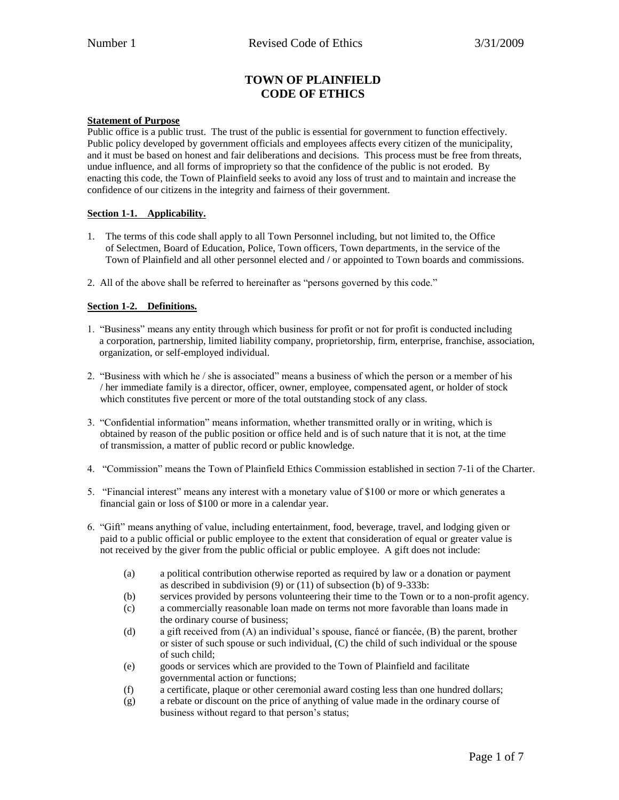# **TOWN OF PLAINFIELD CODE OF ETHICS**

#### **Statement of Purpose**

Public office is a public trust. The trust of the public is essential for government to function effectively. Public policy developed by government officials and employees affects every citizen of the municipality, and it must be based on honest and fair deliberations and decisions. This process must be free from threats, undue influence, and all forms of impropriety so that the confidence of the public is not eroded. By enacting this code, the Town of Plainfield seeks to avoid any loss of trust and to maintain and increase the confidence of our citizens in the integrity and fairness of their government.

## **Section 1-1. Applicability.**

- 1. The terms of this code shall apply to all Town Personnel including, but not limited to, the Office of Selectmen, Board of Education, Police, Town officers, Town departments, in the service of the Town of Plainfield and all other personnel elected and / or appointed to Town boards and commissions.
- 2. All of the above shall be referred to hereinafter as "persons governed by this code."

## **Section 1-2. Definitions.**

- 1. "Business" means any entity through which business for profit or not for profit is conducted including a corporation, partnership, limited liability company, proprietorship, firm, enterprise, franchise, association, organization, or self-employed individual.
- 2. "Business with which he / she is associated" means a business of which the person or a member of his / her immediate family is a director, officer, owner, employee, compensated agent, or holder of stock which constitutes five percent or more of the total outstanding stock of any class.
- 3. "Confidential information" means information, whether transmitted orally or in writing, which is obtained by reason of the public position or office held and is of such nature that it is not, at the time of transmission, a matter of public record or public knowledge.
- 4. "Commission" means the Town of Plainfield Ethics Commission established in section 7-1i of the Charter.
- 5. "Financial interest" means any interest with a monetary value of \$100 or more or which generates a financial gain or loss of \$100 or more in a calendar year.
- 6. "Gift" means anything of value, including entertainment, food, beverage, travel, and lodging given or paid to a public official or public employee to the extent that consideration of equal or greater value is not received by the giver from the public official or public employee. A gift does not include:
	- (a) a political contribution otherwise reported as required by law or a donation or payment as described in subdivision (9) or (11) of subsection (b) of 9-333b:
	- (b) services provided by persons volunteering their time to the Town or to a non-profit agency.
	- (c) a commercially reasonable loan made on terms not more favorable than loans made in the ordinary course of business;
	- (d) a gift received from (A) an individual's spouse, fiancé or fiancée, (B) the parent, brother or sister of such spouse or such individual, (C) the child of such individual or the spouse of such child;
	- (e) goods or services which are provided to the Town of Plainfield and facilitate governmental action or functions;
	- (f) a certificate, plaque or other ceremonial award costing less than one hundred dollars;
	- (g) a rebate or discount on the price of anything of value made in the ordinary course of business without regard to that person's status;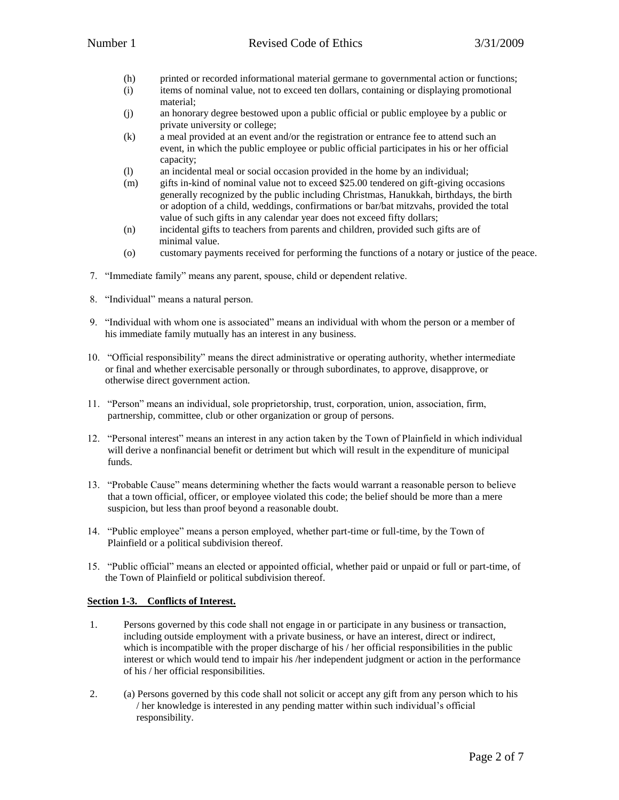- (h) printed or recorded informational material germane to governmental action or functions;
- (i) items of nominal value, not to exceed ten dollars, containing or displaying promotional material;
- (j) an honorary degree bestowed upon a public official or public employee by a public or private university or college;
- (k) a meal provided at an event and/or the registration or entrance fee to attend such an event, in which the public employee or public official participates in his or her official capacity;
- (l) an incidental meal or social occasion provided in the home by an individual;
- (m) gifts in-kind of nominal value not to exceed \$25.00 tendered on gift-giving occasions generally recognized by the public including Christmas, Hanukkah, birthdays, the birth or adoption of a child, weddings, confirmations or bar/bat mitzvahs, provided the total value of such gifts in any calendar year does not exceed fifty dollars;
- (n) incidental gifts to teachers from parents and children, provided such gifts are of minimal value.
- (o) customary payments received for performing the functions of a notary or justice of the peace.
- 7. "Immediate family" means any parent, spouse, child or dependent relative.
- 8. "Individual" means a natural person.
- 9. "Individual with whom one is associated" means an individual with whom the person or a member of his immediate family mutually has an interest in any business.
- 10. "Official responsibility" means the direct administrative or operating authority, whether intermediate or final and whether exercisable personally or through subordinates, to approve, disapprove, or otherwise direct government action.
- 11. "Person" means an individual, sole proprietorship, trust, corporation, union, association, firm, partnership, committee, club or other organization or group of persons.
- 12. "Personal interest" means an interest in any action taken by the Town of Plainfield in which individual will derive a nonfinancial benefit or detriment but which will result in the expenditure of municipal funds.
- 13. "Probable Cause" means determining whether the facts would warrant a reasonable person to believe that a town official, officer, or employee violated this code; the belief should be more than a mere suspicion, but less than proof beyond a reasonable doubt.
- 14. "Public employee" means a person employed, whether part-time or full-time, by the Town of Plainfield or a political subdivision thereof.
- 15. "Public official" means an elected or appointed official, whether paid or unpaid or full or part-time, of the Town of Plainfield or political subdivision thereof.

## **Section 1-3. Conflicts of Interest.**

- 1. Persons governed by this code shall not engage in or participate in any business or transaction, including outside employment with a private business, or have an interest, direct or indirect, which is incompatible with the proper discharge of his / her official responsibilities in the public interest or which would tend to impair his /her independent judgment or action in the performance of his / her official responsibilities.
- 2. (a) Persons governed by this code shall not solicit or accept any gift from any person which to his / her knowledge is interested in any pending matter within such individual's official responsibility.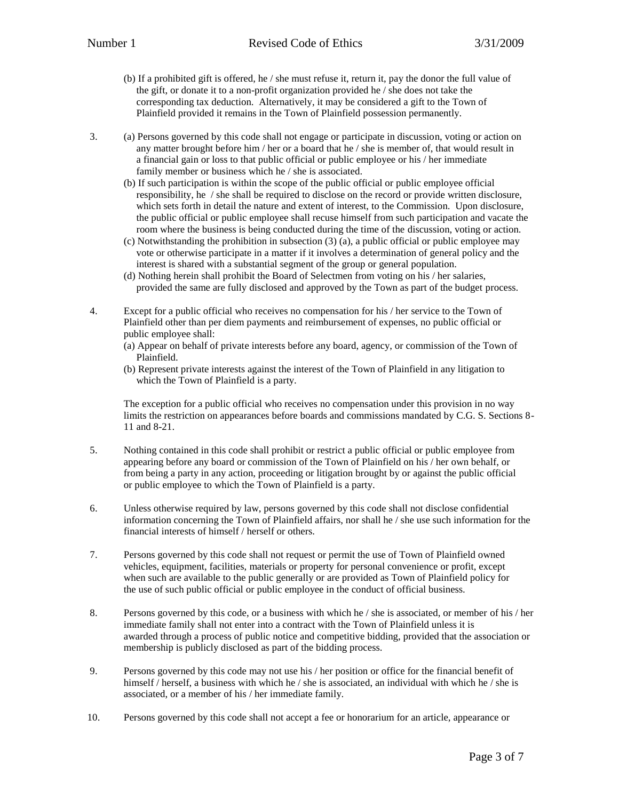- (b) If a prohibited gift is offered, he / she must refuse it, return it, pay the donor the full value of the gift, or donate it to a non-profit organization provided he / she does not take the corresponding tax deduction. Alternatively, it may be considered a gift to the Town of Plainfield provided it remains in the Town of Plainfield possession permanently.
- 3. (a) Persons governed by this code shall not engage or participate in discussion, voting or action on any matter brought before him / her or a board that he / she is member of, that would result in a financial gain or loss to that public official or public employee or his / her immediate family member or business which he / she is associated.
	- (b) If such participation is within the scope of the public official or public employee official responsibility, he / she shall be required to disclose on the record or provide written disclosure, which sets forth in detail the nature and extent of interest, to the Commission. Upon disclosure, the public official or public employee shall recuse himself from such participation and vacate the room where the business is being conducted during the time of the discussion, voting or action.
	- (c) Notwithstanding the prohibition in subsection (3) (a), a public official or public employee may vote or otherwise participate in a matter if it involves a determination of general policy and the interest is shared with a substantial segment of the group or general population.
	- (d) Nothing herein shall prohibit the Board of Selectmen from voting on his / her salaries, provided the same are fully disclosed and approved by the Town as part of the budget process.
- 4. Except for a public official who receives no compensation for his / her service to the Town of Plainfield other than per diem payments and reimbursement of expenses, no public official or public employee shall:
	- (a) Appear on behalf of private interests before any board, agency, or commission of the Town of Plainfield.
	- (b) Represent private interests against the interest of the Town of Plainfield in any litigation to which the Town of Plainfield is a party.

The exception for a public official who receives no compensation under this provision in no way limits the restriction on appearances before boards and commissions mandated by C.G. S. Sections 8- 11 and 8-21.

- 5. Nothing contained in this code shall prohibit or restrict a public official or public employee from appearing before any board or commission of the Town of Plainfield on his / her own behalf, or from being a party in any action, proceeding or litigation brought by or against the public official or public employee to which the Town of Plainfield is a party.
- 6. Unless otherwise required by law, persons governed by this code shall not disclose confidential information concerning the Town of Plainfield affairs, nor shall he / she use such information for the financial interests of himself / herself or others.
- 7. Persons governed by this code shall not request or permit the use of Town of Plainfield owned vehicles, equipment, facilities, materials or property for personal convenience or profit, except when such are available to the public generally or are provided as Town of Plainfield policy for the use of such public official or public employee in the conduct of official business.
- 8. Persons governed by this code, or a business with which he / she is associated, or member of his / her immediate family shall not enter into a contract with the Town of Plainfield unless it is awarded through a process of public notice and competitive bidding, provided that the association or membership is publicly disclosed as part of the bidding process.
- 9. Persons governed by this code may not use his / her position or office for the financial benefit of himself / herself, a business with which he / she is associated, an individual with which he / she is associated, or a member of his / her immediate family.
- 10. Persons governed by this code shall not accept a fee or honorarium for an article, appearance or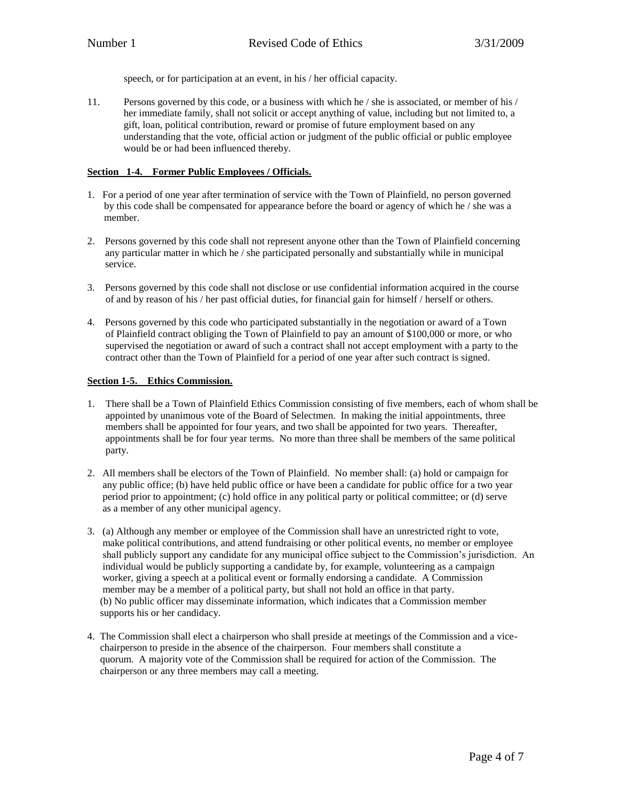speech, or for participation at an event, in his / her official capacity.

11. Persons governed by this code, or a business with which he / she is associated, or member of his / her immediate family, shall not solicit or accept anything of value, including but not limited to, a gift, loan, political contribution, reward or promise of future employment based on any understanding that the vote, official action or judgment of the public official or public employee would be or had been influenced thereby.

## **Section 1-4. Former Public Employees / Officials.**

- 1. For a period of one year after termination of service with the Town of Plainfield, no person governed by this code shall be compensated for appearance before the board or agency of which he / she was a member.
- 2. Persons governed by this code shall not represent anyone other than the Town of Plainfield concerning any particular matter in which he / she participated personally and substantially while in municipal service.
- 3. Persons governed by this code shall not disclose or use confidential information acquired in the course of and by reason of his / her past official duties, for financial gain for himself / herself or others.
- 4. Persons governed by this code who participated substantially in the negotiation or award of a Town of Plainfield contract obliging the Town of Plainfield to pay an amount of \$100,000 or more, or who supervised the negotiation or award of such a contract shall not accept employment with a party to the contract other than the Town of Plainfield for a period of one year after such contract is signed.

## **Section 1-5. Ethics Commission.**

- 1. There shall be a Town of Plainfield Ethics Commission consisting of five members, each of whom shall be appointed by unanimous vote of the Board of Selectmen. In making the initial appointments, three members shall be appointed for four years, and two shall be appointed for two years. Thereafter, appointments shall be for four year terms. No more than three shall be members of the same political party.
- 2. All members shall be electors of the Town of Plainfield. No member shall: (a) hold or campaign for any public office; (b) have held public office or have been a candidate for public office for a two year period prior to appointment; (c) hold office in any political party or political committee; or (d) serve as a member of any other municipal agency.
- 3. (a) Although any member or employee of the Commission shall have an unrestricted right to vote, make political contributions, and attend fundraising or other political events, no member or employee shall publicly support any candidate for any municipal office subject to the Commission's jurisdiction. An individual would be publicly supporting a candidate by, for example, volunteering as a campaign worker, giving a speech at a political event or formally endorsing a candidate. A Commission member may be a member of a political party, but shall not hold an office in that party. (b) No public officer may disseminate information, which indicates that a Commission member supports his or her candidacy.
- 4. The Commission shall elect a chairperson who shall preside at meetings of the Commission and a vice chairperson to preside in the absence of the chairperson. Four members shall constitute a quorum. A majority vote of the Commission shall be required for action of the Commission. The chairperson or any three members may call a meeting.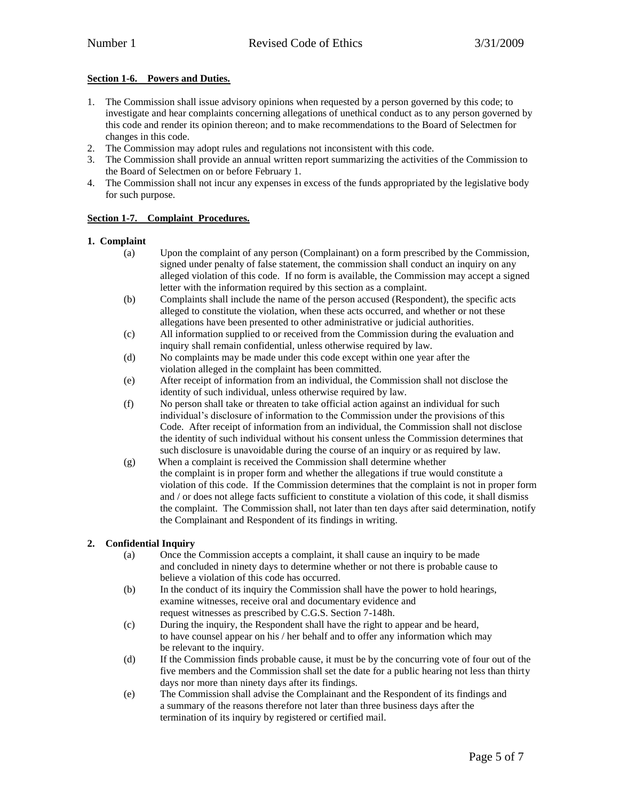# **Section 1-6. Powers and Duties.**

- 1. The Commission shall issue advisory opinions when requested by a person governed by this code; to investigate and hear complaints concerning allegations of unethical conduct as to any person governed by this code and render its opinion thereon; and to make recommendations to the Board of Selectmen for changes in this code.
- 2. The Commission may adopt rules and regulations not inconsistent with this code.
- 3. The Commission shall provide an annual written report summarizing the activities of the Commission to the Board of Selectmen on or before February 1.
- 4. The Commission shall not incur any expenses in excess of the funds appropriated by the legislative body for such purpose.

## **Section 1-7. Complaint Procedures.**

## **1. Complaint**

- (a) Upon the complaint of any person (Complainant) on a form prescribed by the Commission, signed under penalty of false statement, the commission shall conduct an inquiry on any alleged violation of this code. If no form is available, the Commission may accept a signed letter with the information required by this section as a complaint.
- (b) Complaints shall include the name of the person accused (Respondent), the specific acts alleged to constitute the violation, when these acts occurred, and whether or not these allegations have been presented to other administrative or judicial authorities.
- (c) All information supplied to or received from the Commission during the evaluation and inquiry shall remain confidential, unless otherwise required by law.
- (d) No complaints may be made under this code except within one year after the violation alleged in the complaint has been committed.
- (e) After receipt of information from an individual, the Commission shall not disclose the identity of such individual, unless otherwise required by law.
- (f) No person shall take or threaten to take official action against an individual for such individual's disclosure of information to the Commission under the provisions of this Code. After receipt of information from an individual, the Commission shall not disclose the identity of such individual without his consent unless the Commission determines that such disclosure is unavoidable during the course of an inquiry or as required by law.
- (g) When a complaint is received the Commission shall determine whether the complaint is in proper form and whether the allegations if true would constitute a violation of this code. If the Commission determines that the complaint is not in proper form and / or does not allege facts sufficient to constitute a violation of this code, it shall dismiss the complaint. The Commission shall, not later than ten days after said determination, notify the Complainant and Respondent of its findings in writing.

# **2. Confidential Inquiry**

- (a) Once the Commission accepts a complaint, it shall cause an inquiry to be made and concluded in ninety days to determine whether or not there is probable cause to believe a violation of this code has occurred.
- (b) In the conduct of its inquiry the Commission shall have the power to hold hearings, examine witnesses, receive oral and documentary evidence and request witnesses as prescribed by C.G.S. Section 7-148h.
- (c) During the inquiry, the Respondent shall have the right to appear and be heard, to have counsel appear on his / her behalf and to offer any information which may be relevant to the inquiry.
- (d) If the Commission finds probable cause, it must be by the concurring vote of four out of the five members and the Commission shall set the date for a public hearing not less than thirty days nor more than ninety days after its findings.
- (e) The Commission shall advise the Complainant and the Respondent of its findings and a summary of the reasons therefore not later than three business days after the termination of its inquiry by registered or certified mail.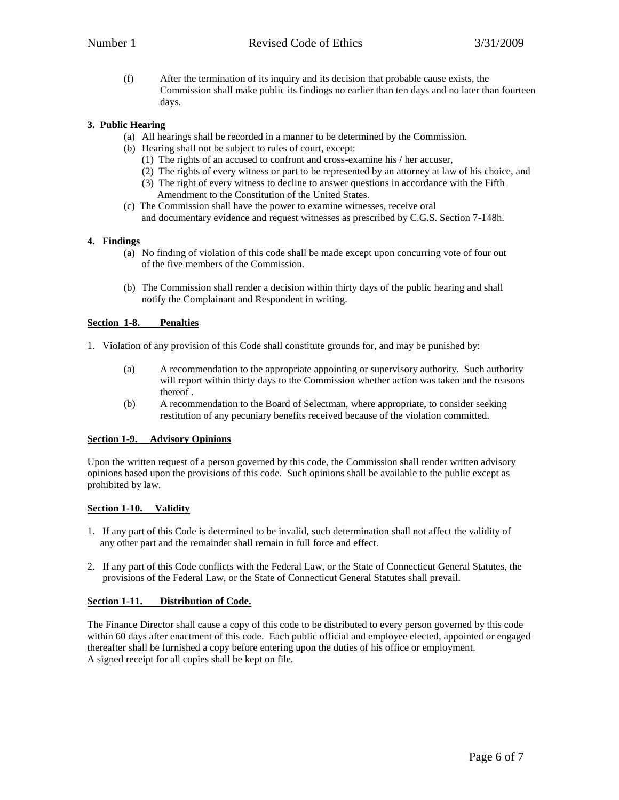(f) After the termination of its inquiry and its decision that probable cause exists, the Commission shall make public its findings no earlier than ten days and no later than fourteen days.

# **3. Public Hearing**

- (a) All hearings shall be recorded in a manner to be determined by the Commission.
- (b) Hearing shall not be subject to rules of court, except:
	- (1) The rights of an accused to confront and cross-examine his / her accuser,
	- (2) The rights of every witness or part to be represented by an attorney at law of his choice, and
	- (3) The right of every witness to decline to answer questions in accordance with the Fifth Amendment to the Constitution of the United States.
- (c) The Commission shall have the power to examine witnesses, receive oral and documentary evidence and request witnesses as prescribed by C.G.S. Section 7-148h.

## **4. Findings**

- (a) No finding of violation of this code shall be made except upon concurring vote of four out of the five members of the Commission.
- (b) The Commission shall render a decision within thirty days of the public hearing and shall notify the Complainant and Respondent in writing.

## **Section 1-8. Penalties**

- 1. Violation of any provision of this Code shall constitute grounds for, and may be punished by:
	- (a) A recommendation to the appropriate appointing or supervisory authority. Such authority will report within thirty days to the Commission whether action was taken and the reasons thereof .
	- (b) A recommendation to the Board of Selectman, where appropriate, to consider seeking restitution of any pecuniary benefits received because of the violation committed.

## **Section 1-9. Advisory Opinions**

Upon the written request of a person governed by this code, the Commission shall render written advisory opinions based upon the provisions of this code. Such opinions shall be available to the public except as prohibited by law.

## **Section 1-10. Validity**

- 1. If any part of this Code is determined to be invalid, such determination shall not affect the validity of any other part and the remainder shall remain in full force and effect.
- 2. If any part of this Code conflicts with the Federal Law, or the State of Connecticut General Statutes, the provisions of the Federal Law, or the State of Connecticut General Statutes shall prevail.

## **Section 1-11. Distribution of Code.**

The Finance Director shall cause a copy of this code to be distributed to every person governed by this code within 60 days after enactment of this code. Each public official and employee elected, appointed or engaged thereafter shall be furnished a copy before entering upon the duties of his office or employment. A signed receipt for all copies shall be kept on file.